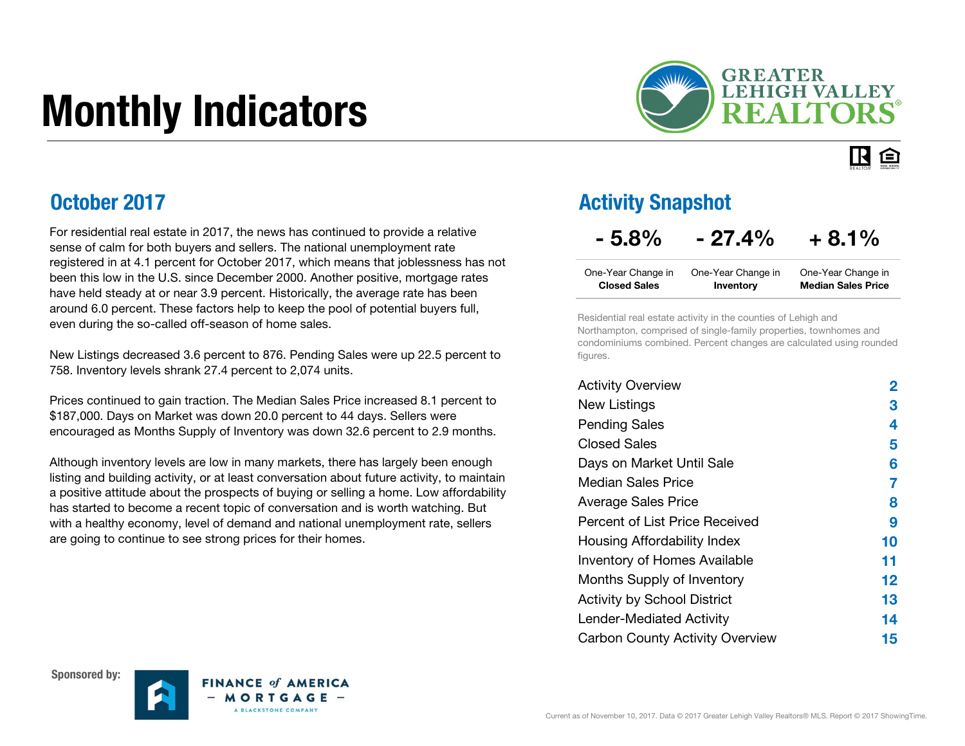# Monthly Indicators



#### IR. 臼

### October 2017

For residential real estate in 2017, the news has continued to provide a relative sense of calm for both buyers and sellers. The national unemployment rate registered in at 4.1 percent for October 2017, which means that joblessness has not been this low in the U.S. since December 2000. Another positive, mortgage rates have held steady at or near 3.9 percent. Historically, the average rate has been around 6.0 percent. These factors help to keep the pool of potential buyers full, even during the so-called off-season of home sales.

New Listings decreased 3.6 percent to 876. Pending Sales were up 22.5 percent to 758. Inventory levels shrank 27.4 percent to 2,074 units.

Prices continued to gain traction. The Median Sales Price increased 8.1 percent to \$187,000. Days on Market was down 20.0 percent to 44 days. Sellers were encouraged as Months Supply of Inventory was down 32.6 percent to 2.9 months.

Although inventory levels are low in many markets, there has largely been enough listing and building activity, or at least conversation about future activity, to maintain a positive attitude about the prospects of buying or selling a home. Low affordability has started to become a recent topic of conversation and is worth watching. But with a healthy economy, level of demand and national unemployment rate, sellers are going to continue to see strong prices for their homes.

### Activity Snapshot

### $-5.8\% - 27.4\% + 8.1\%$

| One-Year Change in  | One-Year Change in | One-Year Change in        |
|---------------------|--------------------|---------------------------|
| <b>Closed Sales</b> | Inventory          | <b>Median Sales Price</b> |

Residential real estate activity in the counties of Lehigh and Northampton, comprised of single-family properties, townhomes and condominiums combined. Percent changes are calculated using rounded figures.

| <b>Activity Overview</b>               | 2       |
|----------------------------------------|---------|
| <b>New Listings</b>                    | 3       |
| <b>Pending Sales</b>                   | 4       |
| <b>Closed Sales</b>                    | 5       |
| Days on Market Until Sale              | 6       |
| Median Sales Price                     | 7       |
| <b>Average Sales Price</b>             | 8       |
| Percent of List Price Received         | 9       |
| Housing Affordability Index            | 10      |
| <b>Inventory of Homes Available</b>    | 11      |
| Months Supply of Inventory             | $12 \,$ |
| <b>Activity by School District</b>     | 13      |
| <b>Lender-Mediated Activity</b>        | 14      |
| <b>Carbon County Activity Overview</b> | 15      |





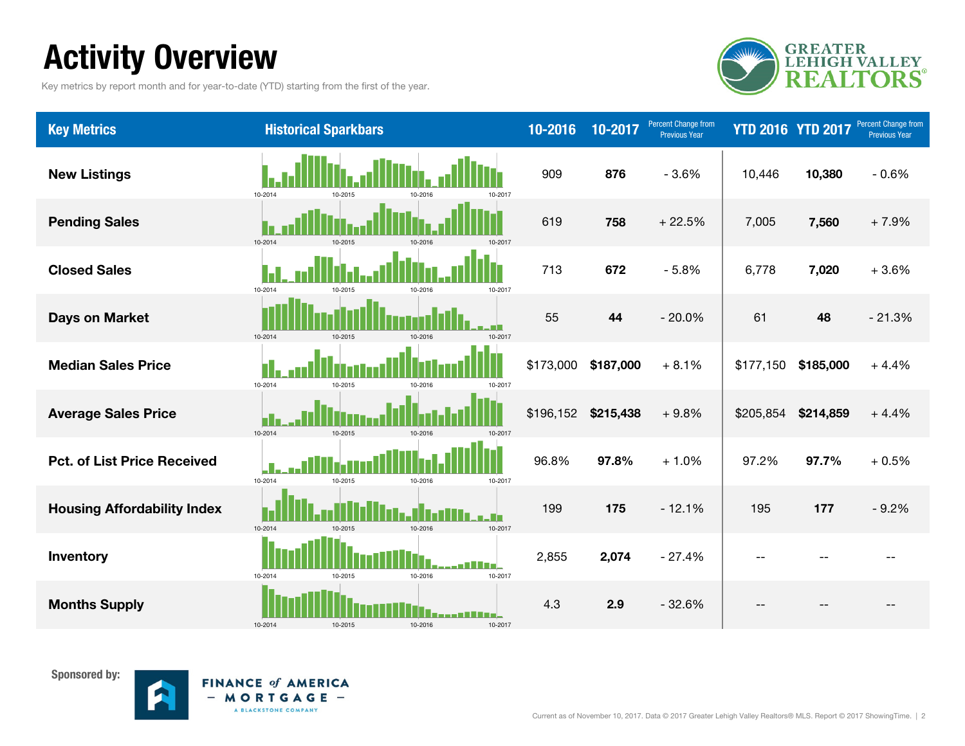# Activity Overview

Key metrics by report month and for year-to-date (YTD) starting from the first of the year.



| <b>Key Metrics</b>                 | <b>Historical Sparkbars</b>              | 10-2016   | 10-2017   | Percent Change from<br>Previous Year | <b>YTD 2016 YTD 2017</b> |           | Percent Change from<br><b>Previous Year</b> |
|------------------------------------|------------------------------------------|-----------|-----------|--------------------------------------|--------------------------|-----------|---------------------------------------------|
| <b>New Listings</b>                | 10-2014<br>10-2015<br>10-2017<br>10-2011 | 909       | 876       | $-3.6%$                              | 10,446                   | 10,380    | $-0.6%$                                     |
| <b>Pending Sales</b>               | 10-2014<br>10-2015<br>10-2016<br>10-2017 | 619       | 758       | $+22.5%$                             | 7,005                    | 7,560     | $+7.9%$                                     |
| <b>Closed Sales</b>                | 10-2014<br>10-2017<br>10.2011<br>10-2016 | 713       | 672       | $-5.8%$                              | 6,778                    | 7,020     | $+3.6%$                                     |
| <b>Days on Market</b>              | 10-2014<br>10-2015<br>10-2016<br>10-2017 | 55        | 44        | $-20.0%$                             | 61                       | 48        | $-21.3%$                                    |
| <b>Median Sales Price</b>          | 10-2014<br>10-2015<br>10-201<br>10-2017  | \$173,000 | \$187,000 | $+8.1%$                              | \$177,150                | \$185,000 | $+4.4%$                                     |
| <b>Average Sales Price</b>         | 10-2014<br>10-2015<br>10-2016<br>10-2017 | \$196,152 | \$215,438 | $+9.8%$                              | \$205,854                | \$214,859 | $+4.4%$                                     |
| <b>Pct. of List Price Received</b> | 10-2014<br>10-2015<br>10-2016<br>10-2017 | 96.8%     | 97.8%     | $+1.0%$                              | 97.2%                    | 97.7%     | $+0.5%$                                     |
| <b>Housing Affordability Index</b> | 10-2014<br>10-2015<br>10-2016<br>10-2017 | 199       | 175       | $-12.1%$                             | 195                      | 177       | $-9.2%$                                     |
| Inventory                          | 10-2014<br>10-2016<br>10-2017<br>10-2015 | 2,855     | 2,074     | $-27.4%$                             | $-$                      |           |                                             |
| <b>Months Supply</b>               | 10-2014<br>10-2015<br>10-2016<br>10-2017 | 4.3       | 2.9       | $-32.6%$                             |                          |           |                                             |



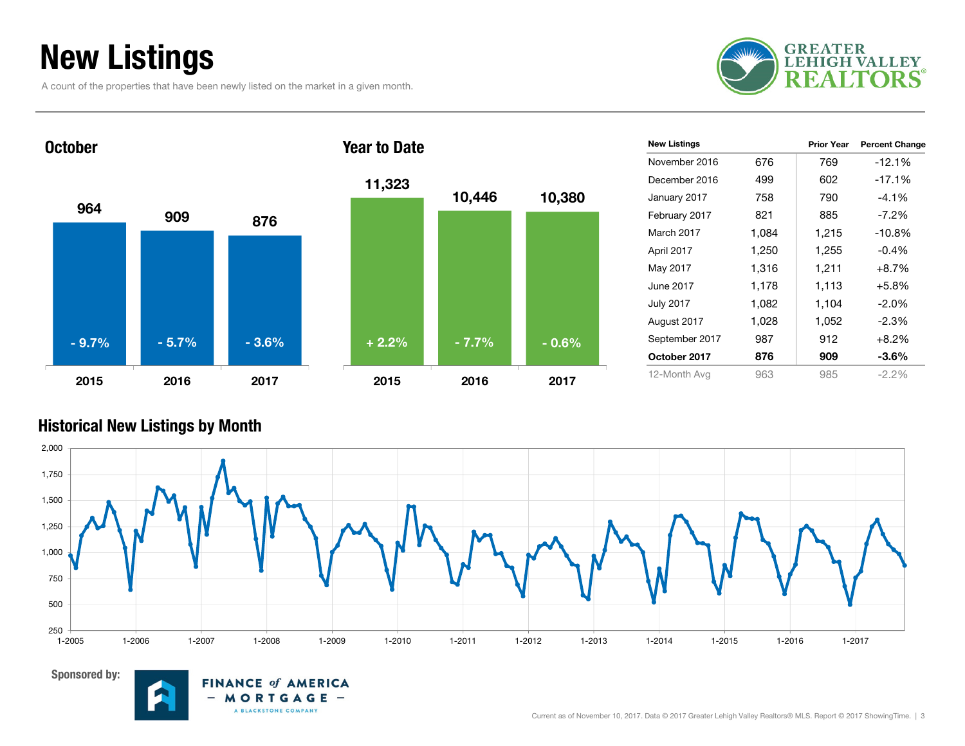### New Listings

A count of the properties that have been newly listed on the market in a given month.





| <b>New Listings</b> |       | <b>Prior Year</b> | <b>Percent Change</b> |
|---------------------|-------|-------------------|-----------------------|
| November 2016       | 676   | 769               | $-12.1%$              |
| December 2016       | 499   | 602               | $-17.1%$              |
| January 2017        | 758   | 790               | $-4.1%$               |
| February 2017       | 821   | 885               | $-7.2\%$              |
| March 2017          | 1,084 | 1,215             | $-10.8%$              |
| April 2017          | 1,250 | 1,255             | $-0.4\%$              |
| May 2017            | 1,316 | 1,211             | $+8.7%$               |
| June 2017           | 1,178 | 1,113             | $+5.8%$               |
| <b>July 2017</b>    | 1,082 | 1,104             | $-2.0\%$              |
| August 2017         | 1,028 | 1,052             | $-2.3%$               |
| September 2017      | 987   | 912               | $+8.2%$               |
| October 2017        | 876   | 909               | -3.6%                 |
| 12-Month Avg        | 963   | 985               | $-2.2\%$              |

#### Historical New Listings by Month





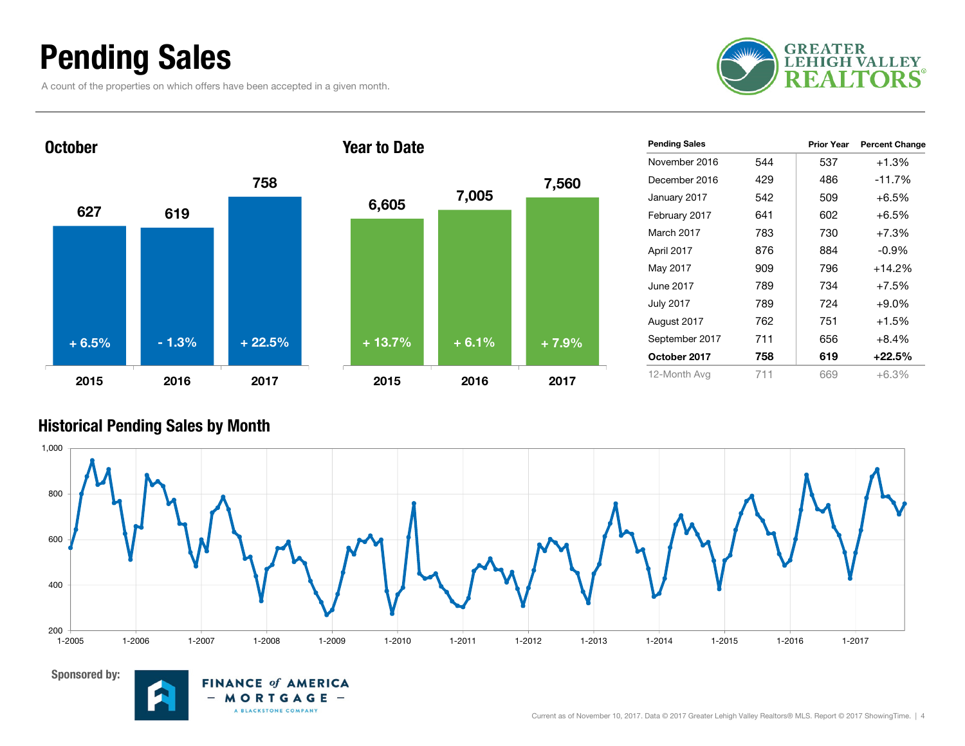### Pending Sales

A count of the properties on which offers have been accepted in a given month.





| <b>Pending Sales</b> |     | <b>Prior Year</b> | <b>Percent Change</b> |
|----------------------|-----|-------------------|-----------------------|
| November 2016        | 544 | 537               | +1.3%                 |
| December 2016        | 429 | 486               | $-11.7%$              |
| January 2017         | 542 | 509               | $+6.5%$               |
| February 2017        | 641 | 602               | $+6.5%$               |
| March 2017           | 783 | 730               | $+7.3%$               |
| April 2017           | 876 | 884               | $-0.9\%$              |
| May 2017             | 909 | 796               | $+14.2%$              |
| June 2017            | 789 | 734               | $+7.5%$               |
| July 2017            | 789 | 724               | $+9.0\%$              |
| August 2017          | 762 | 751               | $+1.5%$               |
| September 2017       | 711 | 656               | $+8.4%$               |
| October 2017         | 758 | 619               | +22.5%                |
| 12-Month Avg         | 711 | 669               | $+6.3%$               |

#### Historical Pending Sales by Month





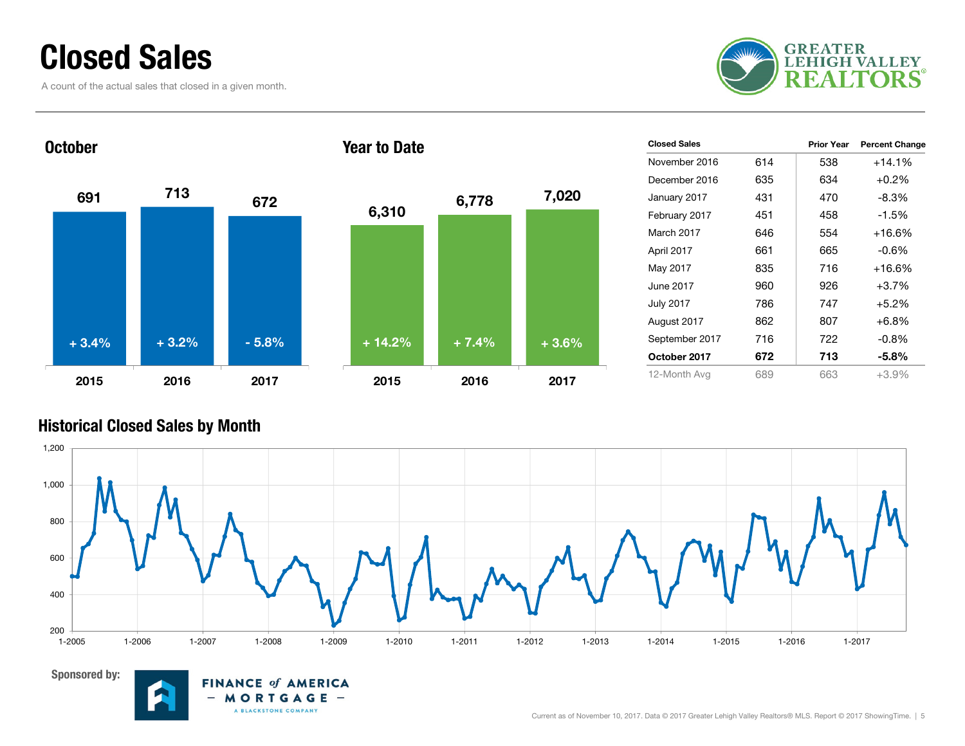### Closed Sales

A count of the actual sales that closed in a given month.





| <b>Closed Sales</b> |     | <b>Prior Year</b> | <b>Percent Change</b> |
|---------------------|-----|-------------------|-----------------------|
| November 2016       | 614 | 538               | $+14.1%$              |
| December 2016       | 635 | 634               | $+0.2%$               |
| January 2017        | 431 | 470               | $-8.3%$               |
| February 2017       | 451 | 458               | $-1.5%$               |
| March 2017          | 646 | 554               | $+16.6%$              |
| April 2017          | 661 | 665               | $-0.6%$               |
| May 2017            | 835 | 716               | $+16.6%$              |
| June 2017           | 960 | 926               | $+3.7%$               |
| <b>July 2017</b>    | 786 | 747               | $+5.2%$               |
| August 2017         | 862 | 807               | $+6.8%$               |
| September 2017      | 716 | 722               | $-0.8%$               |
| October 2017        | 672 | 713               | $-5.8\%$              |
| 12-Month Avg        | 689 | 663               | $+3.9%$               |

#### Historical Closed Sales by Month





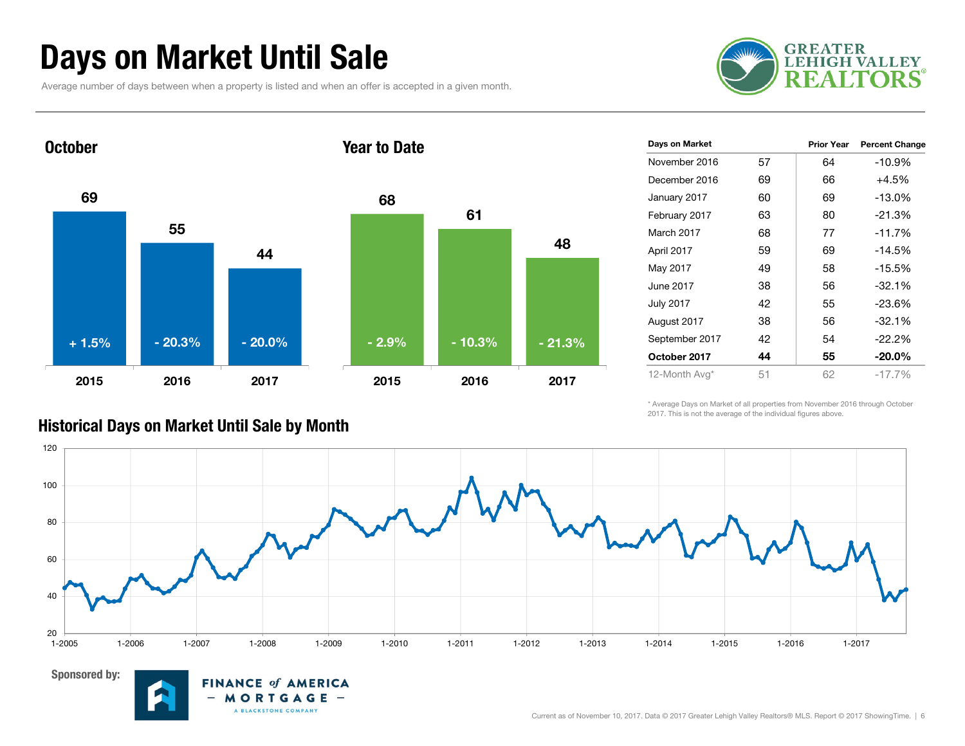### Days on Market Until Sale

Average number of days between when a property is listed and when an offer is accepted in a given month.





| Days on Market   |    | <b>Prior Year</b> | <b>Percent Change</b> |
|------------------|----|-------------------|-----------------------|
| November 2016    | 57 | 64                | $-10.9%$              |
| December 2016    | 69 | 66                | $+4.5%$               |
| January 2017     | 60 | 69                | $-13.0%$              |
| February 2017    | 63 | 80                | $-21.3%$              |
| March 2017       | 68 | 77                | $-11.7%$              |
| April 2017       | 59 | 69                | $-14.5%$              |
| May 2017         | 49 | 58                | $-15.5%$              |
| June 2017        | 38 | 56                | $-32.1%$              |
| <b>July 2017</b> | 42 | 55                | $-23.6%$              |
| August 2017      | 38 | 56                | $-32.1%$              |
| September 2017   | 42 | 54                | $-22.2%$              |
| October 2017     | 44 | 55                | $-20.0\%$             |
| 12-Month Avg*    | 51 | 62                | $-17.7%$              |

\* Average Days on Market of all properties from November 2016 through October 2017. This is not the average of the individual figures above.



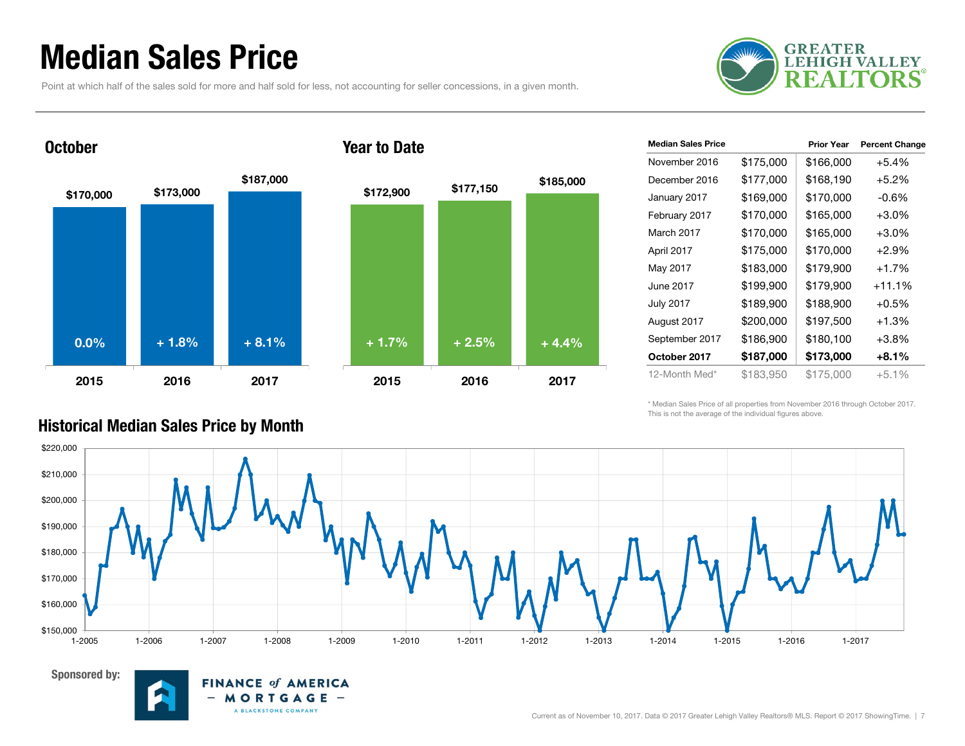### Median Sales Price

**October** 

Point at which half of the sales sold for more and half sold for less, not accounting for seller concessions, in a given month.





**FINANCE of AMERICA** 

MORTGAGE -A BLACKSTONE COMPANY

 $-$ 

#### Year to Date



| <b>Median Sales Price</b> |           | <b>Prior Year</b> | <b>Percent Change</b> |
|---------------------------|-----------|-------------------|-----------------------|
| November 2016             | \$175,000 | \$166,000         | $+5.4%$               |
| December 2016             | \$177,000 | \$168,190         | $+5.2%$               |
| January 2017              | \$169,000 | \$170,000         | $-0.6\%$              |
| February 2017             | \$170,000 | \$165,000         | $+3.0\%$              |
| March 2017                | \$170,000 | \$165,000         | $+3.0%$               |
| April 2017                | \$175,000 | \$170,000         | $+2.9%$               |
| May 2017                  | \$183,000 | \$179,900         | $+1.7%$               |
| June 2017                 | \$199,900 | \$179,900         | $+11.1%$              |
| <b>July 2017</b>          | \$189,900 | \$188,900         | $+0.5%$               |
| August 2017               | \$200,000 | \$197,500         | $+1.3%$               |
| September 2017            | \$186,900 | \$180,100         | $+3.8\%$              |
| October 2017              | \$187,000 | \$173,000         | $+8.1%$               |
| 12-Month Med*             | \$183,950 | \$175,000         | $+5.1\%$              |

\* Median Sales Price of all properties from November 2016 through October 2017. This is not the average of the individual figures above.



#### Historical Median Sales Price by Month

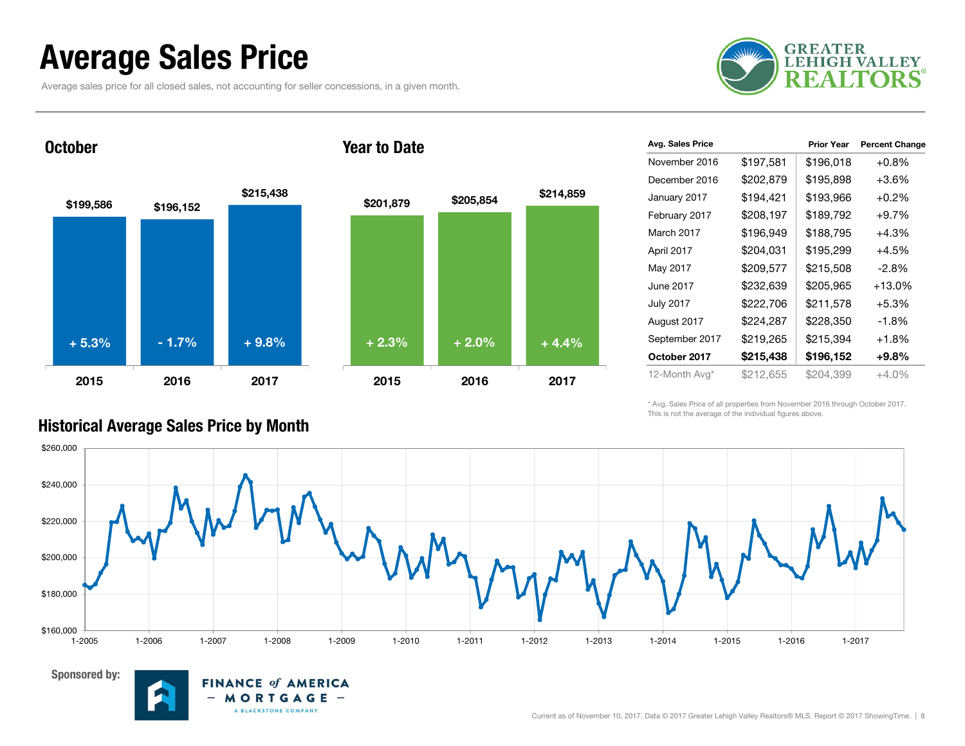### Average Sales Price

Average sales price for all closed sales, not accounting for seller concessions, in a given month.

**FINANCE of AMERICA** 

MORTGAGE -A BLACKSTONE COMPANY



October

Sponsored by:







| Avg. Sales Price |           | <b>Prior Year</b> | <b>Percent Change</b> |
|------------------|-----------|-------------------|-----------------------|
| November 2016    | \$197,581 | \$196,018         | $+0.8%$               |
| December 2016    | \$202,879 | \$195,898         | $+3.6\%$              |
| January 2017     | \$194,421 | \$193,966         | $+0.2%$               |
| February 2017    | \$208,197 | \$189,792         | $+9.7%$               |
| March 2017       | \$196,949 | \$188,795         | +4.3%                 |
| April 2017       | \$204,031 | \$195,299         | $+4.5%$               |
| May 2017         | \$209,577 | \$215,508         | $-2.8\%$              |
| June 2017        | \$232,639 | \$205,965         | $+13.0%$              |
| <b>July 2017</b> | \$222,706 | \$211,578         | $+5.3%$               |
| August 2017      | \$224,287 | \$228,350         | $-1.8%$               |
| September 2017   | \$219,265 | \$215,394         | $+1.8%$               |
| October 2017     | \$215,438 | \$196,152         | $+9.8%$               |
| 12-Month Avg*    | \$212,655 | \$204,399         | $+4.0%$               |

\* Avg. Sales Price of all properties from November 2016 through October 2017. This is not the average of the individual figures above.



#### Historical Average Sales Price by Month

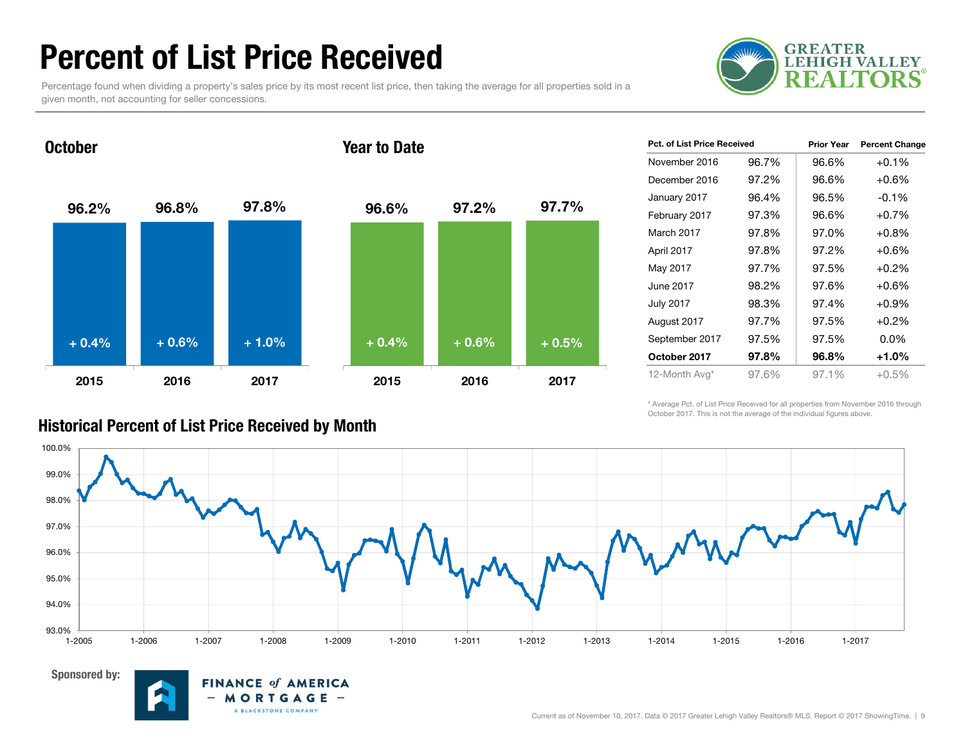### Percent of List Price Received

Percentage found when dividing a property's sales price by its most recent list price, then taking the average for all properties sold in a given month, not accounting for seller concessions.

Year to Date



96.2% 96.8% 97.8% 2015 2016 201796.6% 97.2% 97.7% 2015 2016 2017+ 0.4% $\%$  + 0.6% + 1.0% + 0.4% + 0.6% + 0.5%

| <b>Pct. of List Price Received</b> |       | <b>Prior Year</b> | <b>Percent Change</b> |
|------------------------------------|-------|-------------------|-----------------------|
| November 2016                      | 96.7% | 96.6%             | $+0.1%$               |
| December 2016                      | 97.2% | 96.6%             | $+0.6%$               |
| January 2017                       | 96.4% | 96.5%             | $-0.1%$               |
| February 2017                      | 97.3% | 96.6%             | $+0.7%$               |
| March 2017                         | 97.8% | 97.0%             | $+0.8%$               |
| April 2017                         | 97.8% | 97.2%             | $+0.6%$               |
| May 2017                           | 97.7% | 97.5%             | $+0.2%$               |
| June 2017                          | 98.2% | 97.6%             | $+0.6%$               |
| <b>July 2017</b>                   | 98.3% | 97.4%             | $+0.9\%$              |
| August 2017                        | 97.7% | 97.5%             | $+0.2%$               |
| September 2017                     | 97.5% | 97.5%             | $0.0\%$               |
| October 2017                       | 97.8% | 96.8%             | $+1.0%$               |
| 12-Month Avg*                      | 97.6% | 97.1%             | $+0.5%$               |

\* Average Pct. of List Price Received for all properties from November 2016 through October 2017. This is not the average of the individual figures above.





**October** 



#### Historical Percent of List Price Received by Month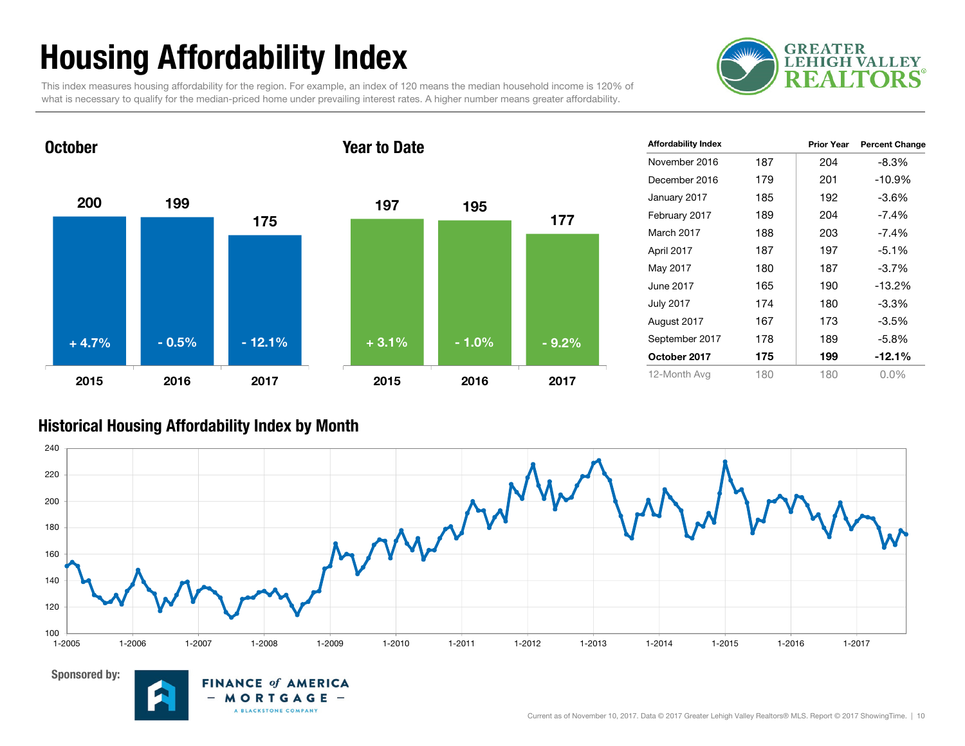# Housing Affordability Index

This index measures housing affordability for the region. For example, an index of 120 means the median household income is 120% of what is necessary to qualify for the median-priced home under prevailing interest rates. A higher number means greater affordability.



200 1991752015 2016 2017October197 1951772015 2016 2017Year to Date+ 4.7%- 0.5% - 12.1% - 1.0% + 3.1% - 9.2%

| <b>Affordability Index</b> |     | <b>Prior Year</b> | <b>Percent Change</b> |
|----------------------------|-----|-------------------|-----------------------|
| November 2016              | 187 | 204               | $-8.3%$               |
| December 2016              | 179 | 201               | $-10.9%$              |
| January 2017               | 185 | 192               | $-3.6%$               |
| February 2017              | 189 | 204               | $-7.4%$               |
| March 2017                 | 188 | 203               | $-7.4\%$              |
| April 2017                 | 187 | 197               | $-5.1%$               |
| May 2017                   | 180 | 187               | $-3.7%$               |
| June 2017                  | 165 | 190               | $-13.2%$              |
| <b>July 2017</b>           | 174 | 180               | $-3.3%$               |
| August 2017                | 167 | 173               | $-3.5%$               |
| September 2017             | 178 | 189               | $-5.8%$               |
| October 2017               | 175 | 199               | $-12.1%$              |
| 12-Month Avg               | 180 | 180               | $0.0\%$               |

#### Historical Housing Affordability Index by Mont h



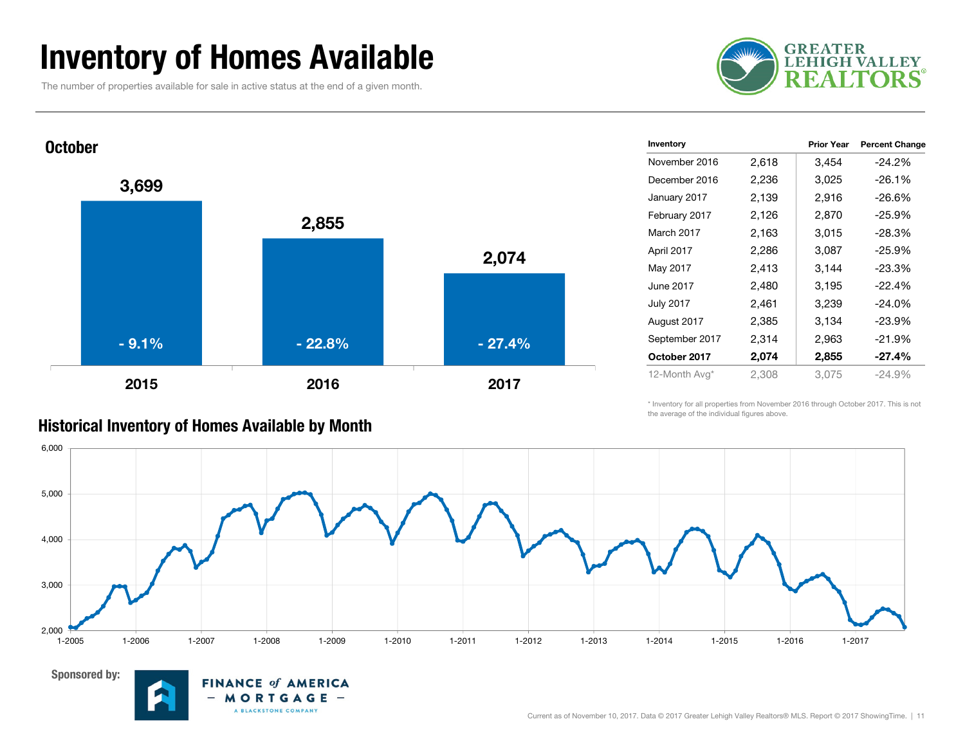### Inventory of Homes Available

The number of properties available for sale in active status at the end of a given month.





| Inventory      |       | <b>Prior Year</b> | <b>Percent Change</b> |
|----------------|-------|-------------------|-----------------------|
| November 2016  | 2,618 | 3,454             | $-24.2%$              |
| December 2016  | 2,236 | 3,025             | $-26.1%$              |
| January 2017   | 2,139 | 2,916             | $-26.6%$              |
| February 2017  | 2,126 | 2,870             | $-25.9%$              |
| March 2017     | 2,163 | 3,015             | $-28.3%$              |
| April 2017     | 2,286 | 3,087             | $-25.9%$              |
| May 2017       | 2,413 | 3,144             | $-23.3%$              |
| June 2017      | 2,480 | 3,195             | $-22.4%$              |
| July 2017      | 2,461 | 3,239             | $-24.0%$              |
| August 2017    | 2,385 | 3,134             | $-23.9%$              |
| September 2017 | 2,314 | 2,963             | $-21.9%$              |
| October 2017   | 2,074 | 2,855             | $-27.4%$              |
| 12-Month Avg*  | 2,308 | 3,075             | $-24.9%$              |
|                |       |                   |                       |

\* Inventory for all properties from November 2016 through October 2017. This is not the average of the individual figures above.





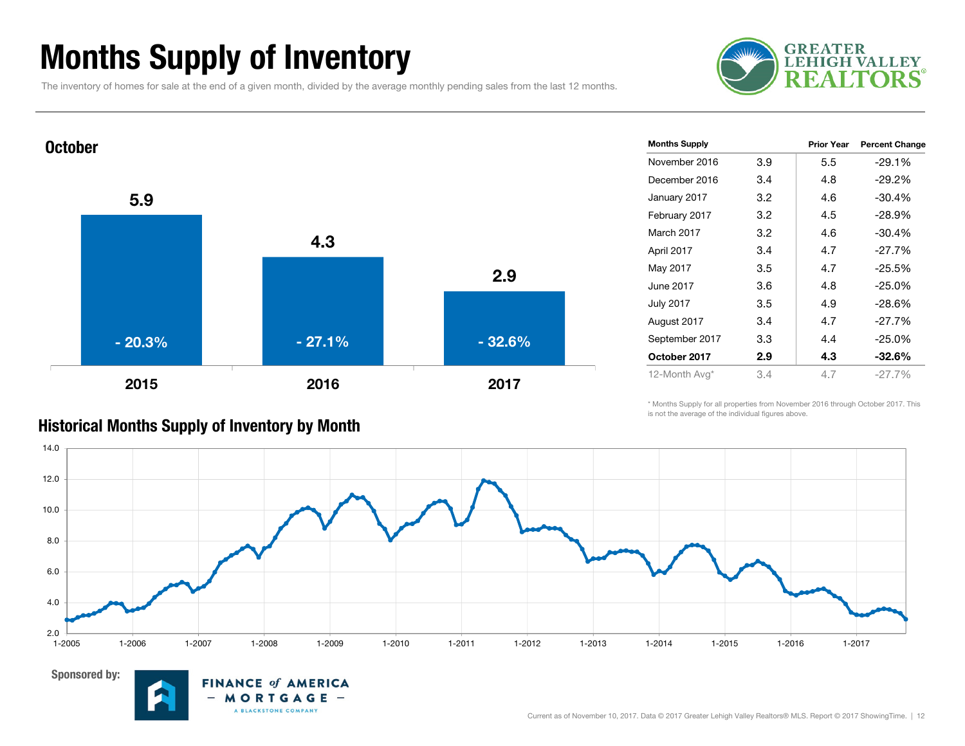### Months Supply of Inventory

The inventory of homes for sale at the end of a given month, divided by the average monthly pending sales from the last 12 months.





| <b>Months Supply</b> |     | <b>Prior Year</b> | <b>Percent Change</b> |
|----------------------|-----|-------------------|-----------------------|
| November 2016        | 3.9 | 5.5               | $-29.1%$              |
| December 2016        | 3.4 | 4.8               | $-29.2%$              |
| January 2017         | 3.2 | 4.6               | $-30.4%$              |
| February 2017        | 3.2 | 4.5               | $-28.9%$              |
| March 2017           | 3.2 | 4.6               | $-30.4%$              |
| April 2017           | 3.4 | 4.7               | $-27.7%$              |
| May 2017             | 3.5 | 4.7               | $-25.5%$              |
| June 2017            | 3.6 | 4.8               | $-25.0%$              |
| <b>July 2017</b>     | 3.5 | 4.9               | $-28.6%$              |
| August 2017          | 3.4 | 4.7               | $-27.7%$              |
| September 2017       | 3.3 | 4.4               | $-25.0%$              |
| October 2017         | 2.9 | 4.3               | $-32.6\%$             |
| 12-Month Avg*        | 3.4 | 4.7               | $-27.7%$              |
|                      |     |                   |                       |

\* Months Supply for all properties from November 2016 through October 2017. This is not the average of the individual figures above.



#### Historical Months Supply of Inventory by Month

**FINANCE of AMERICA** MORTGAGE -A BLACKSTONE COMPANY

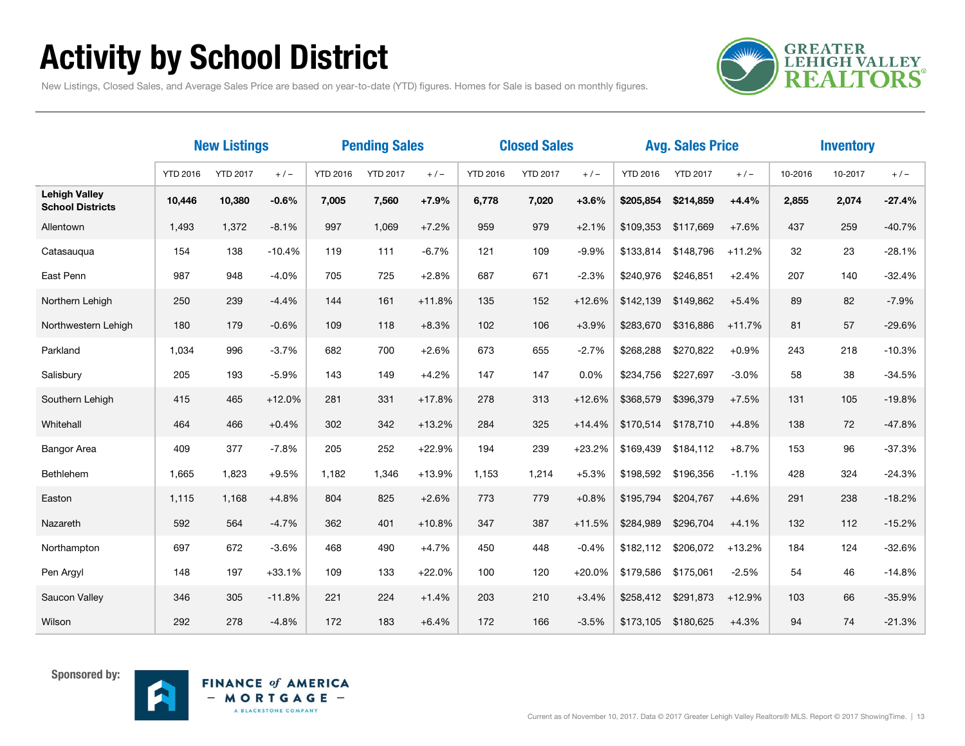# Activity by School District

**GREATER<br>LEHIGH VALLEY REALTORS** 

New Listings, Closed Sales, and Average Sales Price are based on year-to-date (YTD) figures. Homes for Sale is based on monthly figures.

|                                                 | <b>New Listings</b> |                 | <b>Pending Sales</b> |                 | <b>Closed Sales</b> |          |                 |                 | <b>Avg. Sales Price</b> |                 | <b>Inventory</b> |          |         |         |          |
|-------------------------------------------------|---------------------|-----------------|----------------------|-----------------|---------------------|----------|-----------------|-----------------|-------------------------|-----------------|------------------|----------|---------|---------|----------|
|                                                 | <b>YTD 2016</b>     | <b>YTD 2017</b> | $+/-$                | <b>YTD 2016</b> | <b>YTD 2017</b>     | $+/-$    | <b>YTD 2016</b> | <b>YTD 2017</b> | $+/-$                   | <b>YTD 2016</b> | <b>YTD 2017</b>  | $+/-$    | 10-2016 | 10-2017 | $+/-$    |
| <b>Lehigh Valley</b><br><b>School Districts</b> | 10,446              | 10,380          | $-0.6%$              | 7,005           | 7,560               | $+7.9%$  | 6,778           | 7,020           | $+3.6%$                 | \$205,854       | \$214,859        | $+4.4%$  | 2,855   | 2,074   | $-27.4%$ |
| Allentown                                       | 1,493               | 1,372           | $-8.1%$              | 997             | 1,069               | $+7.2%$  | 959             | 979             | $+2.1%$                 | \$109,353       | \$117,669        | $+7.6%$  | 437     | 259     | $-40.7%$ |
| Catasaugua                                      | 154                 | 138             | $-10.4%$             | 119             | 111                 | $-6.7%$  | 121             | 109             | $-9.9%$                 | \$133,814       | \$148,796        | $+11.2%$ | 32      | 23      | $-28.1%$ |
| East Penn                                       | 987                 | 948             | $-4.0%$              | 705             | 725                 | $+2.8%$  | 687             | 671             | $-2.3%$                 | \$240,976       | \$246,851        | $+2.4%$  | 207     | 140     | $-32.4%$ |
| Northern Lehigh                                 | 250                 | 239             | $-4.4%$              | 144             | 161                 | $+11.8%$ | 135             | 152             | $+12.6%$                | \$142,139       | \$149,862        | $+5.4%$  | 89      | 82      | $-7.9%$  |
| Northwestern Lehigh                             | 180                 | 179             | $-0.6%$              | 109             | 118                 | $+8.3%$  | 102             | 106             | $+3.9%$                 | \$283,670       | \$316,886        | $+11.7%$ | 81      | 57      | $-29.6%$ |
| Parkland                                        | 1,034               | 996             | $-3.7%$              | 682             | 700                 | $+2.6%$  | 673             | 655             | $-2.7%$                 | \$268,288       | \$270,822        | $+0.9%$  | 243     | 218     | $-10.3%$ |
| Salisbury                                       | 205                 | 193             | $-5.9%$              | 143             | 149                 | $+4.2%$  | 147             | 147             | 0.0%                    | \$234,756       | \$227,697        | $-3.0%$  | 58      | 38      | $-34.5%$ |
| Southern Lehigh                                 | 415                 | 465             | $+12.0%$             | 281             | 331                 | $+17.8%$ | 278             | 313             | $+12.6%$                | \$368,579       | \$396,379        | $+7.5%$  | 131     | 105     | $-19.8%$ |
| Whitehall                                       | 464                 | 466             | $+0.4%$              | 302             | 342                 | $+13.2%$ | 284             | 325             | $+14.4%$                | \$170,514       | \$178,710        | $+4.8%$  | 138     | 72      | $-47.8%$ |
| <b>Bangor Area</b>                              | 409                 | 377             | $-7.8%$              | 205             | 252                 | $+22.9%$ | 194             | 239             | $+23.2%$                | \$169,439       | \$184,112        | $+8.7%$  | 153     | 96      | $-37.3%$ |
| Bethlehem                                       | 1,665               | 1,823           | $+9.5%$              | 1,182           | 1,346               | $+13.9%$ | 1,153           | 1,214           | $+5.3%$                 | \$198,592       | \$196,356        | $-1.1%$  | 428     | 324     | $-24.3%$ |
| Easton                                          | 1,115               | 1,168           | $+4.8%$              | 804             | 825                 | $+2.6%$  | 773             | 779             | $+0.8%$                 | \$195,794       | \$204,767        | $+4.6%$  | 291     | 238     | $-18.2%$ |
| Nazareth                                        | 592                 | 564             | $-4.7%$              | 362             | 401                 | $+10.8%$ | 347             | 387             | $+11.5%$                | \$284,989       | \$296,704        | $+4.1%$  | 132     | 112     | $-15.2%$ |
| Northampton                                     | 697                 | 672             | $-3.6%$              | 468             | 490                 | $+4.7%$  | 450             | 448             | $-0.4%$                 | \$182,112       | \$206,072        | $+13.2%$ | 184     | 124     | $-32.6%$ |
| Pen Argyl                                       | 148                 | 197             | $+33.1%$             | 109             | 133                 | $+22.0%$ | 100             | 120             | $+20.0%$                | \$179,586       | \$175,061        | $-2.5%$  | 54      | 46      | $-14.8%$ |
| Saucon Valley                                   | 346                 | 305             | $-11.8%$             | 221             | 224                 | $+1.4%$  | 203             | 210             | $+3.4%$                 | \$258,412       | \$291,873        | $+12.9%$ | 103     | 66      | $-35.9%$ |
| Wilson                                          | 292                 | 278             | $-4.8%$              | 172             | 183                 | $+6.4%$  | 172             | 166             | $-3.5%$                 | \$173,105       | \$180.625        | $+4.3%$  | 94      | 74      | $-21.3%$ |



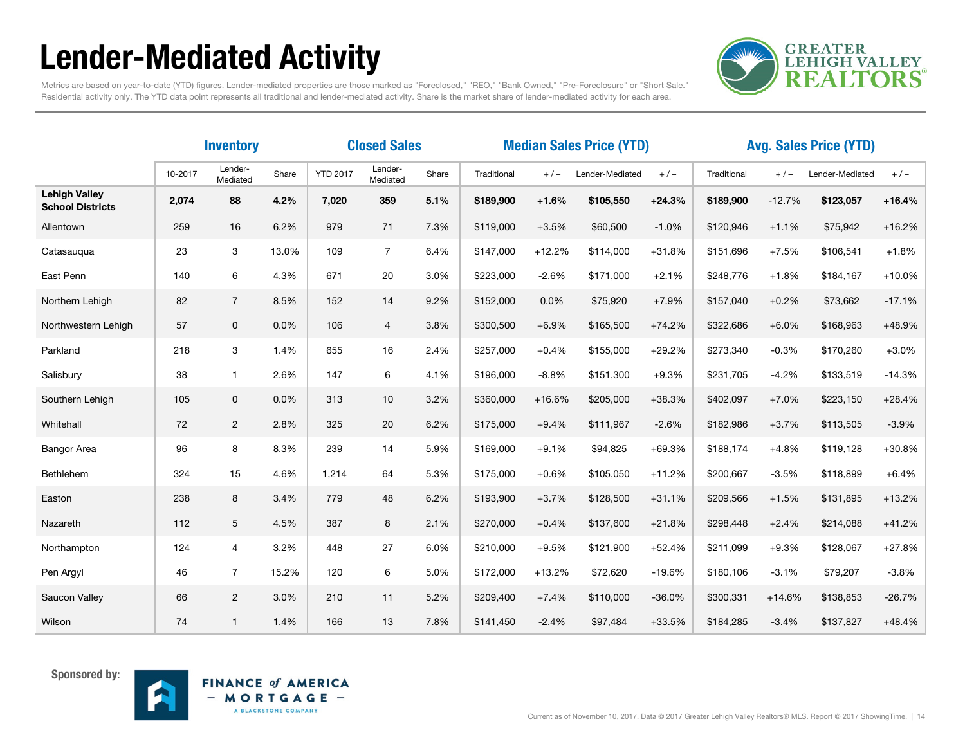# Lender-Mediated Activity



Metrics are based on year-to-date (YTD) figures. Lender-mediated properties are those marked as "Foreclosed," "REO," "Bank Owned," "Pre-Foreclosure" or "Short Sale." Residential activity only. The YTD data point represents all traditional and lender-mediated activity. Share is the market share of lender-mediated activity for each area.

|                                                 |         | <b>Inventory</b>    |       | <b>Closed Sales</b> |                     |       | <b>Median Sales Price (YTD)</b> |          |                 |          | <b>Avg. Sales Price (YTD)</b> |          |                 |          |  |
|-------------------------------------------------|---------|---------------------|-------|---------------------|---------------------|-------|---------------------------------|----------|-----------------|----------|-------------------------------|----------|-----------------|----------|--|
|                                                 | 10-2017 | Lender-<br>Mediated | Share | <b>YTD 2017</b>     | Lender-<br>Mediated | Share | Traditional                     | $+/-$    | Lender-Mediated | $+/-$    | Traditional                   | $+/-$    | Lender-Mediated | $+/-$    |  |
| <b>Lehigh Valley</b><br><b>School Districts</b> | 2,074   | 88                  | 4.2%  | 7,020               | 359                 | 5.1%  | \$189,900                       | $+1.6%$  | \$105,550       | $+24.3%$ | \$189,900                     | $-12.7%$ | \$123,057       | $+16.4%$ |  |
| Allentown                                       | 259     | 16                  | 6.2%  | 979                 | 71                  | 7.3%  | \$119,000                       | $+3.5%$  | \$60,500        | $-1.0%$  | \$120,946                     | $+1.1%$  | \$75,942        | $+16.2%$ |  |
| Catasaugua                                      | 23      | 3                   | 13.0% | 109                 | $\overline{7}$      | 6.4%  | \$147,000                       | $+12.2%$ | \$114,000       | $+31.8%$ | \$151.696                     | $+7.5%$  | \$106,541       | $+1.8%$  |  |
| East Penn                                       | 140     | 6                   | 4.3%  | 671                 | 20                  | 3.0%  | \$223,000                       | $-2.6%$  | \$171,000       | $+2.1%$  | \$248,776                     | $+1.8%$  | \$184,167       | $+10.0%$ |  |
| Northern Lehigh                                 | 82      | $\overline{7}$      | 8.5%  | 152                 | 14                  | 9.2%  | \$152,000                       | 0.0%     | \$75,920        | $+7.9%$  | \$157,040                     | $+0.2%$  | \$73,662        | $-17.1%$ |  |
| Northwestern Lehigh                             | 57      | $\mathbf 0$         | 0.0%  | 106                 | $\overline{4}$      | 3.8%  | \$300,500                       | $+6.9%$  | \$165,500       | $+74.2%$ | \$322,686                     | $+6.0%$  | \$168,963       | +48.9%   |  |
| Parkland                                        | 218     | 3                   | 1.4%  | 655                 | 16                  | 2.4%  | \$257,000                       | $+0.4%$  | \$155,000       | $+29.2%$ | \$273.340                     | $-0.3%$  | \$170,260       | $+3.0%$  |  |
| Salisbury                                       | 38      | $\mathbf{1}$        | 2.6%  | 147                 | 6                   | 4.1%  | \$196,000                       | $-8.8%$  | \$151,300       | $+9.3%$  | \$231,705                     | $-4.2%$  | \$133,519       | $-14.3%$ |  |
| Southern Lehigh                                 | 105     | 0                   | 0.0%  | 313                 | 10                  | 3.2%  | \$360,000                       | $+16.6%$ | \$205,000       | $+38.3%$ | \$402,097                     | $+7.0%$  | \$223,150       | $+28.4%$ |  |
| Whitehall                                       | 72      | $\overline{2}$      | 2.8%  | 325                 | 20                  | 6.2%  | \$175,000                       | $+9.4%$  | \$111,967       | $-2.6%$  | \$182,986                     | $+3.7%$  | \$113,505       | $-3.9%$  |  |
| <b>Bangor Area</b>                              | 96      | 8                   | 8.3%  | 239                 | 14                  | 5.9%  | \$169,000                       | $+9.1%$  | \$94,825        | $+69.3%$ | \$188,174                     | $+4.8%$  | \$119,128       | $+30.8%$ |  |
| Bethlehem                                       | 324     | 15                  | 4.6%  | 1,214               | 64                  | 5.3%  | \$175,000                       | $+0.6%$  | \$105,050       | $+11.2%$ | \$200,667                     | $-3.5%$  | \$118,899       | $+6.4%$  |  |
| Easton                                          | 238     | 8                   | 3.4%  | 779                 | 48                  | 6.2%  | \$193,900                       | $+3.7%$  | \$128,500       | $+31.1%$ | \$209,566                     | $+1.5%$  | \$131,895       | $+13.2%$ |  |
| Nazareth                                        | 112     | 5                   | 4.5%  | 387                 | 8                   | 2.1%  | \$270,000                       | $+0.4%$  | \$137,600       | $+21.8%$ | \$298,448                     | $+2.4%$  | \$214,088       | $+41.2%$ |  |
| Northampton                                     | 124     | $\overline{4}$      | 3.2%  | 448                 | 27                  | 6.0%  | \$210,000                       | $+9.5%$  | \$121,900       | $+52.4%$ | \$211,099                     | $+9.3%$  | \$128,067       | $+27.8%$ |  |
| Pen Argyl                                       | 46      | $\overline{7}$      | 15.2% | 120                 | 6                   | 5.0%  | \$172,000                       | $+13.2%$ | \$72,620        | $-19.6%$ | \$180,106                     | $-3.1%$  | \$79,207        | $-3.8%$  |  |
| Saucon Valley                                   | 66      | $\overline{2}$      | 3.0%  | 210                 | 11                  | 5.2%  | \$209,400                       | $+7.4%$  | \$110,000       | $-36.0%$ | \$300,331                     | $+14.6%$ | \$138,853       | $-26.7%$ |  |
| Wilson                                          | 74      | $\mathbf{1}$        | 1.4%  | 166                 | 13                  | 7.8%  | \$141,450                       | $-2.4%$  | \$97,484        | $+33.5%$ | \$184,285                     | $-3.4%$  | \$137,827       | $+48.4%$ |  |